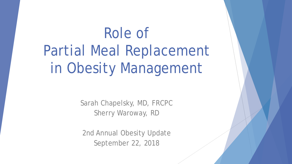# Role of Partial Meal Replacement in Obesity Management

Sarah Chapelsky, MD, FRCPC Sherry Waroway, RD

2nd Annual Obesity Update September 22, 2018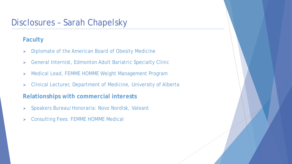#### Disclosures – Sarah Chapelsky

#### **Faculty**

- **Diplomate of the American Board of Obesity Medicine**
- General Internist, Edmonton Adult Bariatric Specialty Clinic
- Medical Lead, FEMME HOMME Weight Management Program
- Clinical Lecturer, Department of Medicine, University of Alberta

#### **Relationships with commercial interests**

- Speakers Bureau/Honoraria: Novo Nordisk, Valeant
- Consulting Fees: FEMME HOMME Medical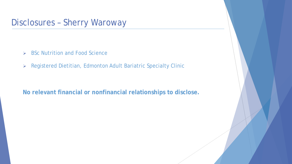#### Disclosures – Sherry Waroway

- $\triangleright$  BSc Nutrition and Food Science
- Registered Dietitian, Edmonton Adult Bariatric Specialty Clinic

**No relevant financial or nonfinancial relationships to disclose.**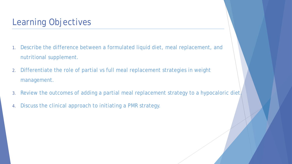# Learning Objectives

- 1. Describe the difference between a formulated liquid diet, meal replacement, and nutritional supplement.
- 2. Differentiate the role of partial vs full meal replacement strategies in weight management.
- 3. Review the outcomes of adding a partial meal replacement strategy to a hypocaloric diet)
- 4. Discuss the clinical approach to initiating a PMR strategy.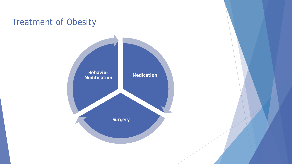# Treatment of Obesity

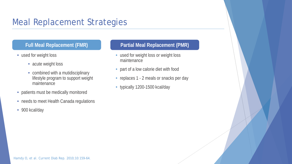### Meal Replacement Strategies

- used for weight loss
	- acute weight loss
	- combined with a mutidisciplinary lifestyle program to support weight maintenance
- patients must be medically monitored
- needs to meet Health Canada regulations
- 900 kcal/day

#### **Full Meal Replacement (FMR) Partial Meal Replacement (PMR)**

- used for weight loss or weight loss maintenance
- part of a low calorie diet with food
- replaces 1 2 meals or snacks per day
- typically 1200-1500 kcal/day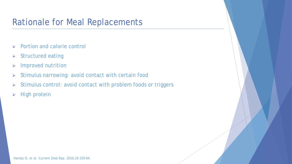## Rationale for Meal Replacements

- **EXECUTE:** Portion and calorie control
- $\triangleright$  Structured eating
- > Improved nutrition
- > Stimulus narrowing: avoid contact with certain food
- $\triangleright$  Stimulus control: avoid contact with problem foods or triggers
- $\triangleright$  High protein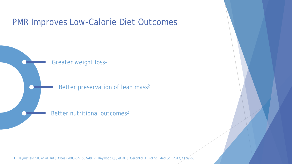#### PMR Improves Low-Calorie Diet Outcomes



1. Heymsfield SB, et al. *Int J Obes* (2003);27:537–49; 2. Haywood CJ, et al. *J Gerontol A Biol Sci Med Sci*. 2017;73:59-65.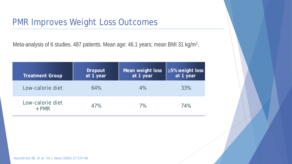#### PMR Improves Weight Loss Outcomes

Meta-analysis of 6 studies. 487 patients. Mean age: 46.1 years; mean BMI 31 kg/m<sup>2</sup>.

| <b>Treatment Group</b>      | <b>Dropout</b><br>at 1 year | Mean weight loss<br>at 1 year | $\geq$ 5% weight loss<br>at 1 year |
|-----------------------------|-----------------------------|-------------------------------|------------------------------------|
| Low-calorie diet            | 64%                         | $4\%$                         | 33%                                |
| Low-calorie diet<br>$+$ PMR | 47%                         | 7%                            | 74%                                |

Heymsfield SB, et al. *Int J Obes* (2003);27:537–49.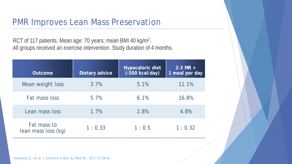#### PMR Improves Lean Mass Preservation

RCT of 117 patients. Mean age: 70 years; mean BMI 40 kg/m<sup>2</sup>. All groups received an exercise intervention. Study duration of 4 months.

| <b>Outcome</b>                     | Dietary advice | <b>Hypocaloric diet</b><br>$(-500$ kcal/day) | $2 - 3 MR +$<br>1 meal per day |
|------------------------------------|----------------|----------------------------------------------|--------------------------------|
| Mean weight loss                   | 3.7%           | 5.1%                                         | 11.1%                          |
| Fat mass loss                      | 5.7%           | 6.1%                                         | 16.8%                          |
| Lean mass loss                     | 1.7%           | 2.8%                                         | 4.8%                           |
| Fat mass to<br>lean mass loss (kg) | 1:0.33         | 1:0.5                                        | 1:0.32                         |

Haywood CJ, et al. *J Gerontol A Biol Sci Med Sci*. 2017;73:59-65.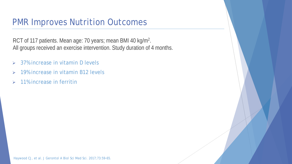#### PMR Improves Nutrition Outcomes

RCT of 117 patients. Mean age: 70 years; mean BMI 40 kg/m2. All groups received an exercise intervention. Study duration of 4 months.

- $\geq$  37% increase in vitamin D levels
- $\geq$  19% increase in vitamin B12 levels
- $\geq 11\%$  increase in ferritin

Haywood CJ, et al. *J Gerontol A Biol Sci Med Sci*. 2017;73:59-65.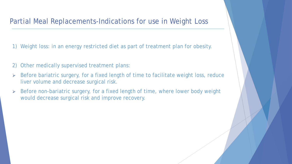#### Partial Meal Replacements-Indications for use in Weight Loss

- 1) Weight loss: in an energy restricted diet as part of treatment plan for obesity.
- 2) Other medically supervised treatment plans:
- ▶ Before bariatric surgery, for a fixed length of time to facilitate weight loss, reduce liver volume and decrease surgical risk.
- Before non-bariatric surgery, for a fixed length of time, where lower body weight would decrease surgical risk and improve recovery.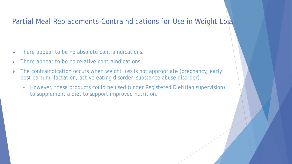#### Partial Meal Replacements-Contraindications for Use in Weight Loss

- $\triangleright$  There appear to be no absolute contraindications.
- $\triangleright$  There appear to be no relative contraindications.
- > The contraindication occurs when weight loss is not appropriate (pregnancy, early post partum, lactation, active eating disorder, substance abuse disorder).
	- However, these products could be used (under Registered Dietitian supervision) to supplement a diet to support improved nutrition.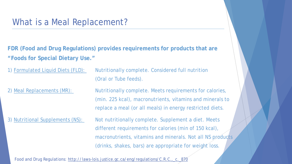#### What is a Meal Replacement?

**FDR (Food and Drug Regulations) provides requirements for products that are "Foods for Special Dietary Use."**

1) Formulated Liquid Diets (FLD): Nutritionally complete. Considered full nutrition (Oral or Tube feeds).

2) Meal Replacements (MR): Nutritionally complete. Meets requirements for calories, (min. 225 kcal), macronutrients, vitamins and minerals to replace a meal (or all meals) in energy restricted diets.

3) Nutritional Supplements (NS): Not nutritionally complete. Supplement a diet. Meets different requirements for calories (min of 150 kcal), macronutrients, vitamins and minerals. Not all NS products (drinks, shakes, bars) are appropriate for weight loss.

Food and Drug Regulations: http://laws-lois.justice.gc.ca/eng/regulations/C.R.C.,\_c.\_870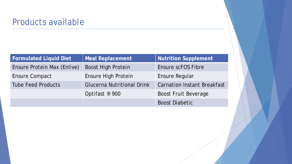## Products available

| <b>Formulated Liquid Diet</b> | <b>Meal Replacement</b>           | Nutrition Supplement               |
|-------------------------------|-----------------------------------|------------------------------------|
| Ensure Protein Max (Enlive)   | <b>Boost High Protein</b>         | Ensure scFOS Fibre                 |
| Ensure Compact                | <b>Ensure High Protein</b>        | Ensure Regular                     |
| <b>Tube Feed Products</b>     | <b>Glucerna Nutritional Drink</b> | <b>Carnation Instant Breakfast</b> |
|                               | Optifast ® 900                    | <b>Boost Fruit Beverage</b>        |
|                               |                                   | <b>Boost Diabetic</b>              |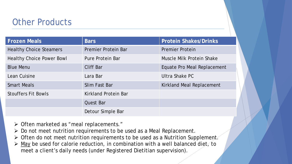#### Other Products

| <b>Frozen Meals</b>              | <b>Bars</b>                 | <b>Protein Shakes/Drinks</b>     |
|----------------------------------|-----------------------------|----------------------------------|
| <b>Healthy Choice Steamers</b>   | Premier Protein Bar         | <b>Premier Protein</b>           |
| <b>Healthy Choice Power Bowl</b> | Pure Protein Bar            | Muscle Milk Protein Shake        |
| <b>Blue Menu</b>                 | <b>Cliff Bar</b>            | Equate Pro Meal Replacement      |
| Lean Cuisine                     | Lara Bar                    | Ultra Shake PC                   |
| <b>Smart Meals</b>               | Slim Fast Bar               | <b>Kirkland Meal Replacement</b> |
| <b>Stouffers Fit Bowls</b>       | <b>Kirkland Protein Bar</b> |                                  |
|                                  | <b>Quest Bar</b>            |                                  |
|                                  | Detour Simple Bar           |                                  |

- > Often marketed as "meal replacements."
- $\triangleright$  Do not meet nutrition requirements to be used as a Meal Replacement.
- > Often do not meet nutrition requirements to be used as a Nutrition Supplement.
- $\triangleright$  May be used for calorie reduction, in combination with a well balanced diet, to meet a client's daily needs (under Registered Dietitian supervision).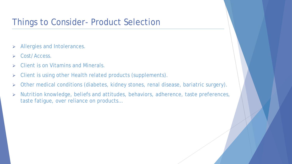### Things to Consider- Product Selection

- > Allergies and Intolerances.
- Cost/Access.
- $\triangleright$  Client is on Vitamins and Minerals.
- Client is using other Health related products (supplements).
- Other medical conditions (diabetes, kidney stones, renal disease, bariatric surgery).
- Nutrition knowledge, beliefs and attitudes, behaviors, adherence, taste preferences, taste fatigue, over reliance on products…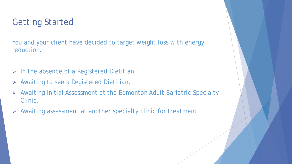# Getting Started

You and your client have decided to target weight loss with energy reduction.

- $\triangleright$  In the absence of a Registered Dietitian.
- Awaiting to see a Registered Dietitian.
- Awaiting Initial Assessment at the Edmonton Adult Bariatric Specialty Clinic.
- Awaiting assessment at another specialty clinic for treatment.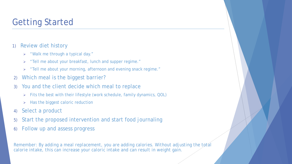# Getting Started

#### 1) Review diet history

- "Walk me through a typical day."
- > "Tell me about your breakfast, lunch and supper regime."
- "Tell me about your morning, afternoon and evening snack regime."
- 2) Which meal is the biggest barrier?
- 3) You and the client decide which meal to replace
	- Fits the best with their lifestyle (work schedule, family dynamics, QOL)
	- $\triangleright$  Has the biggest caloric reduction
- 4) Select a product
- 5) Start the proposed intervention and start food journaling
- 6) Follow up and assess progress

*Remember: By adding a meal replacement, you are adding calories. Without adjusting the total calorie intake, this can increase your caloric intake and can result in weight gain.*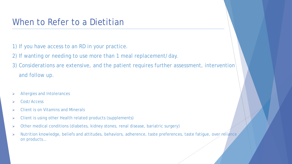#### When to Refer to a Dietitian

- 1) If you have access to an RD in your practice.
- 2) If wanting or needing to use more than 1 meal replacement/day.
- 3) Considerations are extensive, and the patient requires further assessment, intervention and follow up.
- Allergies and Intolerances
- Cost/Access
- $\triangleright$  Client is on Vitamins and Minerals
- $\triangleright$  Client is using other Health related products (supplements)
- Other medical conditions (diabetes, kidney stones, renal disease, bariatric surgery)
- $\triangleright$  Nutrition knowledge, beliefs and attitudes, behaviors, adherence, taste preferences, taste fatigue, over reliance on products…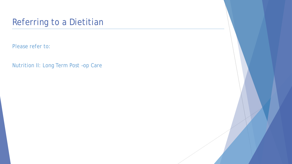# Referring to a Dietitian

Please refer to:

Nutrition II: Long Term Post –op Care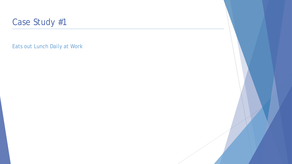

Eats out Lunch Daily at Work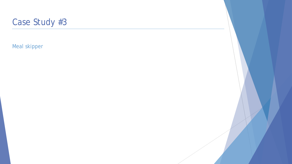

Meal skipper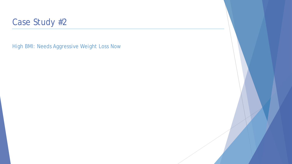

High BMI: Needs Aggressive Weight Loss Now